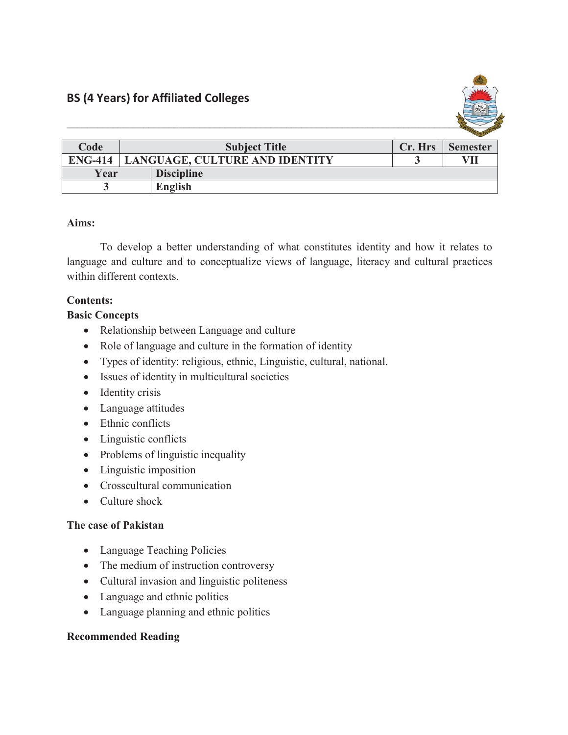

| Code           | <b>Subject Title</b>           |                   | Cr. Hrs | <b>Semester</b> |
|----------------|--------------------------------|-------------------|---------|-----------------|
| <b>ENG-414</b> | LANGUAGE, CULTURE AND IDENTITY |                   |         | VП              |
| Year           |                                | <b>Discipline</b> |         |                 |
|                |                                | <b>English</b>    |         |                 |

# **Aims:**

To develop a better understanding of what constitutes identity and how it relates to language and culture and to conceptualize views of language, literacy and cultural practices within different contexts.

## **Contents:**

### **Basic Concepts**

- Relationship between Language and culture
- Role of language and culture in the formation of identity
- Types of identity: religious, ethnic, Linguistic, cultural, national.
- Issues of identity in multicultural societies
- $\bullet$  Identity crisis
- Language attitudes
- $\bullet$  Ethnic conflicts
- $\bullet$  Linguistic conflicts
- $\bullet$  Problems of linguistic inequality
- $\bullet$  Linguistic imposition
- Crosscultural communication
- $\bullet$  Culture shock

### **The case of Pakistan**

- Language Teaching Policies
- The medium of instruction controversy
- Cultural invasion and linguistic politeness
- Language and ethnic politics
- Language planning and ethnic politics

### **Recommended Reading**